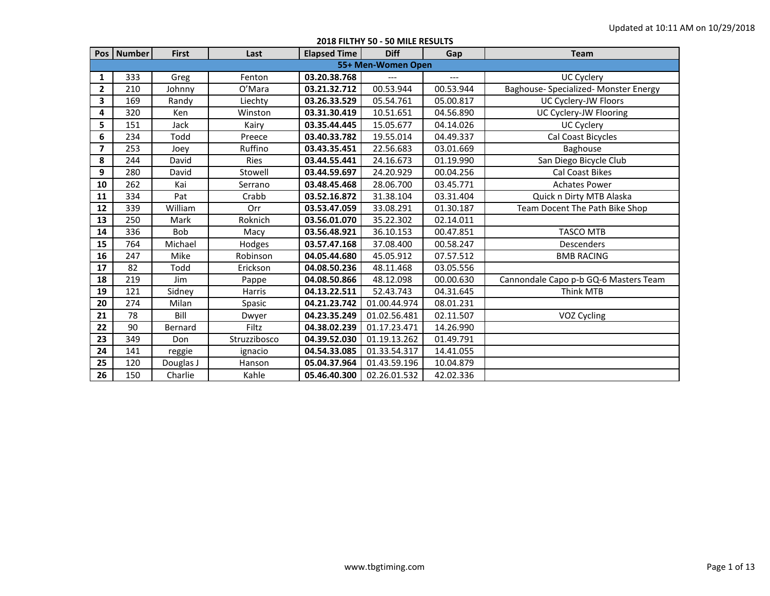|                         | Pos   Number | <b>First</b> | Last         | <b>Elapsed Time</b> | <b>Diff</b>        | Gap       | <b>Team</b>                           |
|-------------------------|--------------|--------------|--------------|---------------------|--------------------|-----------|---------------------------------------|
|                         |              |              |              |                     | 55+ Men-Women Open |           |                                       |
| 1                       | 333          | Greg         | Fenton       | 03.20.38.768        |                    | ---       | <b>UC Cyclery</b>                     |
| $\overline{\mathbf{2}}$ | 210          | Johnny       | O'Mara       | 03.21.32.712        | 00.53.944          | 00.53.944 | Baghouse- Specialized- Monster Energy |
| 3                       | 169          | Randy        | Liechty      | 03.26.33.529        | 05.54.761          | 05.00.817 | UC Cyclery-JW Floors                  |
| 4                       | 320          | Ken          | Winston      | 03.31.30.419        | 10.51.651          | 04.56.890 | UC Cyclery-JW Flooring                |
| 5                       | 151          | Jack         | Kairy        | 03.35.44.445        | 15.05.677          | 04.14.026 | <b>UC Cyclery</b>                     |
| 6                       | 234          | Todd         | Preece       | 03.40.33.782        | 19.55.014          | 04.49.337 | Cal Coast Bicycles                    |
| $\overline{7}$          | 253          | Joev         | Ruffino      | 03.43.35.451        | 22.56.683          | 03.01.669 | Baghouse                              |
| 8                       | 244          | David        | Ries         | 03.44.55.441        | 24.16.673          | 01.19.990 | San Diego Bicycle Club                |
| 9                       | 280          | David        | Stowell      | 03.44.59.697        | 24.20.929          | 00.04.256 | <b>Cal Coast Bikes</b>                |
| 10                      | 262          | Kai          | Serrano      | 03.48.45.468        | 28.06.700          | 03.45.771 | <b>Achates Power</b>                  |
| 11                      | 334          | Pat          | Crabb        | 03.52.16.872        | 31.38.104          | 03.31.404 | Quick n Dirty MTB Alaska              |
| 12                      | 339          | William      | Orr          | 03.53.47.059        | 33.08.291          | 01.30.187 | Team Docent The Path Bike Shop        |
| 13                      | 250          | Mark         | Roknich      | 03.56.01.070        | 35.22.302          | 02.14.011 |                                       |
| 14                      | 336          | <b>Bob</b>   | Macy         | 03.56.48.921        | 36.10.153          | 00.47.851 | <b>TASCO MTB</b>                      |
| 15                      | 764          | Michael      | Hodges       | 03.57.47.168        | 37.08.400          | 00.58.247 | Descenders                            |
| 16                      | 247          | Mike         | Robinson     | 04.05.44.680        | 45.05.912          | 07.57.512 | <b>BMB RACING</b>                     |
| 17                      | 82           | Todd         | Erickson     | 04.08.50.236        | 48.11.468          | 03.05.556 |                                       |
| 18                      | 219          | Jim          | Pappe        | 04.08.50.866        | 48.12.098          | 00.00.630 | Cannondale Capo p-b GQ-6 Masters Team |
| 19                      | 121          | Sidney       | Harris       | 04.13.22.511        | 52.43.743          | 04.31.645 | <b>Think MTB</b>                      |
| 20                      | 274          | Milan        | Spasic       | 04.21.23.742        | 01.00.44.974       | 08.01.231 |                                       |
| 21                      | 78           | Bill         | Dwyer        | 04.23.35.249        | 01.02.56.481       | 02.11.507 | VOZ Cycling                           |
| 22                      | 90           | Bernard      | Filtz        | 04.38.02.239        | 01.17.23.471       | 14.26.990 |                                       |
| 23                      | 349          | Don          | Struzzibosco | 04.39.52.030        | 01.19.13.262       | 01.49.791 |                                       |
| 24                      | 141          | reggie       | ignacio      | 04.54.33.085        | 01.33.54.317       | 14.41.055 |                                       |
| 25                      | 120          | Douglas J    | Hanson       | 05.04.37.964        | 01.43.59.196       | 10.04.879 |                                       |
| 26                      | 150          | Charlie      | Kahle        | 05.46.40.300        | 02.26.01.532       | 42.02.336 |                                       |

**2018 FILTHY 50 - 50 MILE RESULTS**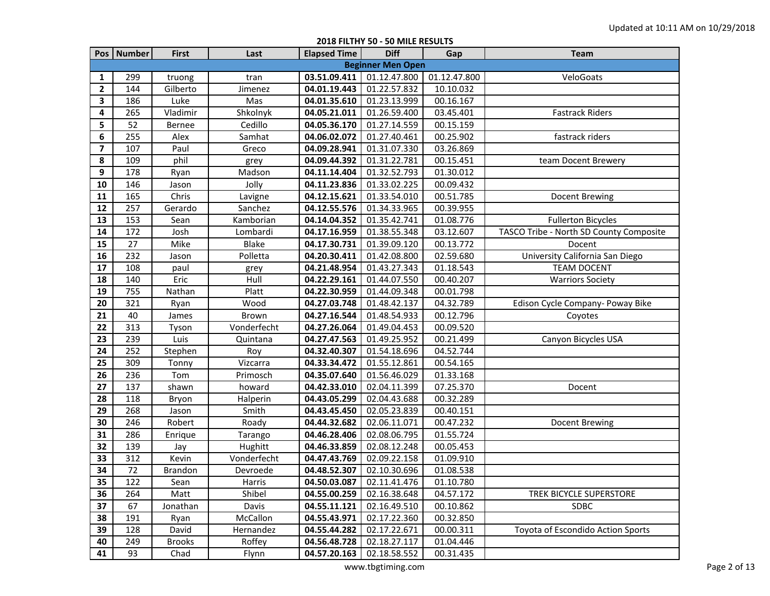|                |              |                |              | <b>CARDINALISM</b>  | JU INILL INLJULIJ        |              |                                         |
|----------------|--------------|----------------|--------------|---------------------|--------------------------|--------------|-----------------------------------------|
|                | Pos   Number | <b>First</b>   | Last         | <b>Elapsed Time</b> | <b>Diff</b>              | Gap          | <b>Team</b>                             |
|                |              |                |              |                     | <b>Beginner Men Open</b> |              |                                         |
| 1              | 299          | truong         | tran         | 03.51.09.411        | 01.12.47.800             | 01.12.47.800 | VeloGoats                               |
| $\mathbf{2}$   | 144          | Gilberto       | Jimenez      | 04.01.19.443        | 01.22.57.832             | 10.10.032    |                                         |
| 3              | 186          | Luke           | Mas          | 04.01.35.610        | 01.23.13.999             | 00.16.167    |                                         |
| 4              | 265          | Vladimir       | Shkolnyk     | 04.05.21.011        | 01.26.59.400             | 03.45.401    | <b>Fastrack Riders</b>                  |
| 5              | 52           | <b>Bernee</b>  | Cedillo      | 04.05.36.170        | 01.27.14.559             | 00.15.159    |                                         |
| 6              | 255          | Alex           | Samhat       | 04.06.02.072        | 01.27.40.461             | 00.25.902    | fastrack riders                         |
| $\overline{ }$ | 107          | Paul           | Greco        | 04.09.28.941        | 01.31.07.330             | 03.26.869    |                                         |
| 8              | 109          | phil           | grey         | 04.09.44.392        | 01.31.22.781             | 00.15.451    | team Docent Brewery                     |
| 9              | 178          | Ryan           | Madson       | 04.11.14.404        | 01.32.52.793             | 01.30.012    |                                         |
| 10             | 146          | Jason          | Jolly        | 04.11.23.836        | 01.33.02.225             | 00.09.432    |                                         |
| 11             | 165          | Chris          | Lavigne      | 04.12.15.621        | 01.33.54.010             | 00.51.785    | Docent Brewing                          |
| 12             | 257          | Gerardo        | Sanchez      | 04.12.55.576        | 01.34.33.965             | 00.39.955    |                                         |
| 13             | 153          | Sean           | Kamborian    | 04.14.04.352        | 01.35.42.741             | 01.08.776    | <b>Fullerton Bicycles</b>               |
| 14             | 172          | Josh           | Lombardi     | 04.17.16.959        | 01.38.55.348             | 03.12.607    | TASCO Tribe - North SD County Composite |
| 15             | 27           | Mike           | <b>Blake</b> | 04.17.30.731        | 01.39.09.120             | 00.13.772    | Docent                                  |
| 16             | 232          | Jason          | Polletta     | 04.20.30.411        | 01.42.08.800             | 02.59.680    | University California San Diego         |
| 17             | 108          | paul           | grey         | 04.21.48.954        | 01.43.27.343             | 01.18.543    | <b>TEAM DOCENT</b>                      |
| 18             | 140          | Eric           | Hull         | 04.22.29.161        | 01.44.07.550             | 00.40.207    | <b>Warriors Society</b>                 |
| 19             | 755          | Nathan         | Platt        | 04.22.30.959        | 01.44.09.348             | 00.01.798    |                                         |
| 20             | 321          | Ryan           | Wood         | 04.27.03.748        | 01.48.42.137             | 04.32.789    | Edison Cycle Company- Poway Bike        |
| 21             | 40           | James          | Brown        | 04.27.16.544        | 01.48.54.933             | 00.12.796    | Coyotes                                 |
| 22             | 313          | Tyson          | Vonderfecht  | 04.27.26.064        | 01.49.04.453             | 00.09.520    |                                         |
| 23             | 239          | Luis           | Quintana     | 04.27.47.563        | 01.49.25.952             | 00.21.499    | Canyon Bicycles USA                     |
| 24             | 252          | Stephen        | Roy          | 04.32.40.307        | 01.54.18.696             | 04.52.744    |                                         |
| 25             | 309          | Tonny          | Vizcarra     | 04.33.34.472        | 01.55.12.861             | 00.54.165    |                                         |
| 26             | 236          | Tom            | Primosch     | 04.35.07.640        | 01.56.46.029             | 01.33.168    |                                         |
| 27             | 137          | shawn          | howard       | 04.42.33.010        | 02.04.11.399             | 07.25.370    | Docent                                  |
| 28             | 118          | Bryon          | Halperin     | 04.43.05.299        | 02.04.43.688             | 00.32.289    |                                         |
| 29             | 268          | Jason          | Smith        | 04.43.45.450        | 02.05.23.839             | 00.40.151    |                                         |
| 30             | 246          | Robert         | Roady        | 04.44.32.682        | 02.06.11.071             | 00.47.232    | Docent Brewing                          |
| 31             | 286          | Enrique        | Tarango      | 04.46.28.406        | 02.08.06.795             | 01.55.724    |                                         |
| 32             | 139          | Jay            | Hughitt      | 04.46.33.859        | 02.08.12.248             | 00.05.453    |                                         |
| 33             | 312          | Kevin          | Vonderfecht  | 04.47.43.769        | 02.09.22.158             | 01.09.910    |                                         |
| 34             | 72           | <b>Brandon</b> | Devroede     | 04.48.52.307        | 02.10.30.696             | 01.08.538    |                                         |
| 35             | 122          | Sean           | Harris       | 04.50.03.087        | 02.11.41.476             | 01.10.780    |                                         |
| 36             | 264          | Matt           | Shibel       | 04.55.00.259        | 02.16.38.648             | 04.57.172    | TREK BICYCLE SUPERSTORE                 |
| 37             | 67           | Jonathan       | Davis        | 04.55.11.121        | 02.16.49.510             | 00.10.862    | <b>SDBC</b>                             |
| 38             | 191          | Ryan           | McCallon     | 04.55.43.971        | 02.17.22.360             | 00.32.850    |                                         |
| 39             | 128          | David          | Hernandez    | 04.55.44.282        | 02.17.22.671             | 00.00.311    | Toyota of Escondido Action Sports       |
| 40             | 249          | <b>Brooks</b>  | Roffey       | 04.56.48.728        | 02.18.27.117             | 01.04.446    |                                         |
| 41             | 93           | Chad           | Flynn        | 04.57.20.163        | 02.18.58.552             | 00.31.435    |                                         |

**2018 FILTHY 50 - 50 MILE RESULTS**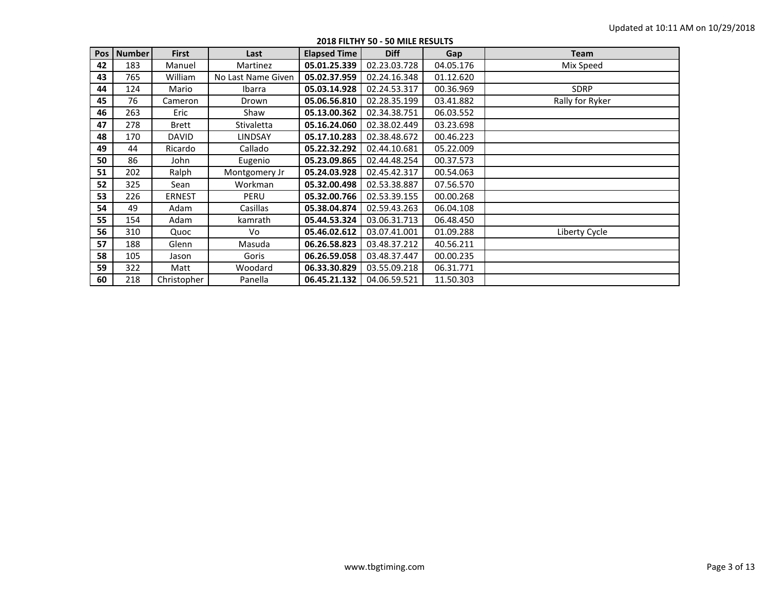| Pos | <b>Number</b> | <b>First</b>  | Last               | <b>Elapsed Time</b> | <b>Diff</b>  | Gap       | <b>Team</b>     |
|-----|---------------|---------------|--------------------|---------------------|--------------|-----------|-----------------|
| 42  | 183           | Manuel        | Martinez           | 05.01.25.339        | 02.23.03.728 | 04.05.176 | Mix Speed       |
| 43  | 765           | William       | No Last Name Given | 05.02.37.959        | 02.24.16.348 | 01.12.620 |                 |
| 44  | 124           | Mario         | Ibarra             | 05.03.14.928        | 02.24.53.317 | 00.36.969 | <b>SDRP</b>     |
| 45  | 76            | Cameron       | Drown              | 05.06.56.810        | 02.28.35.199 | 03.41.882 | Rally for Ryker |
| 46  | 263           | Eric          | Shaw               | 05.13.00.362        | 02.34.38.751 | 06.03.552 |                 |
| 47  | 278           | <b>Brett</b>  | <b>Stivaletta</b>  | 05.16.24.060        | 02.38.02.449 | 03.23.698 |                 |
| 48  | 170           | <b>DAVID</b>  | LINDSAY            | 05.17.10.283        | 02.38.48.672 | 00.46.223 |                 |
| 49  | 44            | Ricardo       | Callado            | 05.22.32.292        | 02.44.10.681 | 05.22.009 |                 |
| 50  | 86            | John          | Eugenio            | 05.23.09.865        | 02.44.48.254 | 00.37.573 |                 |
| 51  | 202           | Ralph         | Montgomery Jr      | 05.24.03.928        | 02.45.42.317 | 00.54.063 |                 |
| 52  | 325           | Sean          | Workman            | 05.32.00.498        | 02.53.38.887 | 07.56.570 |                 |
| 53  | 226           | <b>ERNEST</b> | PERU               | 05.32.00.766        | 02.53.39.155 | 00.00.268 |                 |
| 54  | 49            | Adam          | Casillas           | 05.38.04.874        | 02.59.43.263 | 06.04.108 |                 |
| 55  | 154           | Adam          | kamrath            | 05.44.53.324        | 03.06.31.713 | 06.48.450 |                 |
| 56  | 310           | Quoc          | Vo                 | 05.46.02.612        | 03.07.41.001 | 01.09.288 | Liberty Cycle   |
| 57  | 188           | Glenn         | Masuda             | 06.26.58.823        | 03.48.37.212 | 40.56.211 |                 |
| 58  | 105           | Jason         | Goris              | 06.26.59.058        | 03.48.37.447 | 00.00.235 |                 |
| 59  | 322           | Matt          | Woodard            | 06.33.30.829        | 03.55.09.218 | 06.31.771 |                 |
| 60  | 218           | Christopher   | Panella            | 06.45.21.132        | 04.06.59.521 | 11.50.303 |                 |

**2018 FILTHY 50 - 50 MILE RESULTS**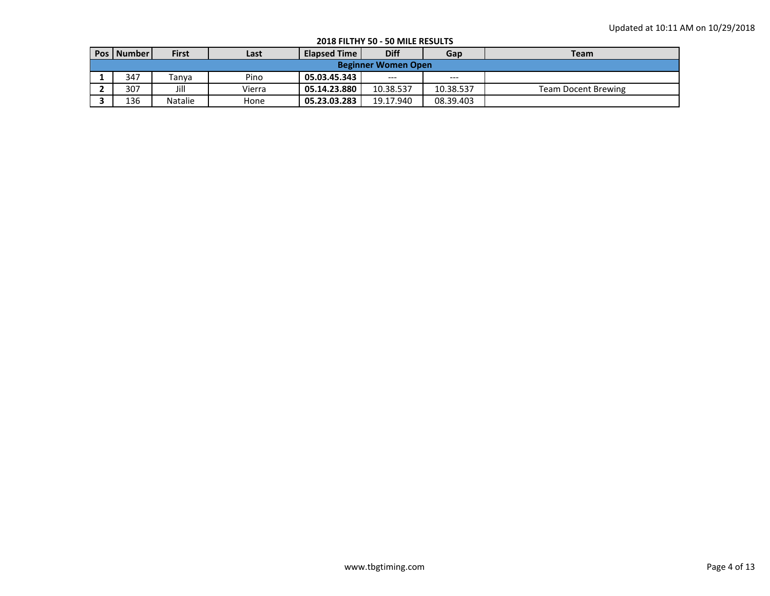|                            | ----------------------------- |              |        |                     |             |           |                            |  |  |  |  |
|----------------------------|-------------------------------|--------------|--------|---------------------|-------------|-----------|----------------------------|--|--|--|--|
|                            | <b>Pos   Number  </b>         | <b>First</b> | Last   | <b>Elapsed Time</b> | <b>Diff</b> | Gap       | <b>Team</b>                |  |  |  |  |
| <b>Beginner Women Open</b> |                               |              |        |                     |             |           |                            |  |  |  |  |
|                            | 347                           | Tanya        | Pino   | 05.03.45.343        | $---$       | $---$     |                            |  |  |  |  |
|                            | 307                           | Jill         | Vierra | 05.14.23.880        | 10.38.537   | 10.38.537 | <b>Team Docent Brewing</b> |  |  |  |  |
|                            | 136                           | Natalie      | Hone   | 05.23.03.283        | 19.17.940   | 08.39.403 |                            |  |  |  |  |

**2018 FILTHY 50 - 50 MILE RESULTS**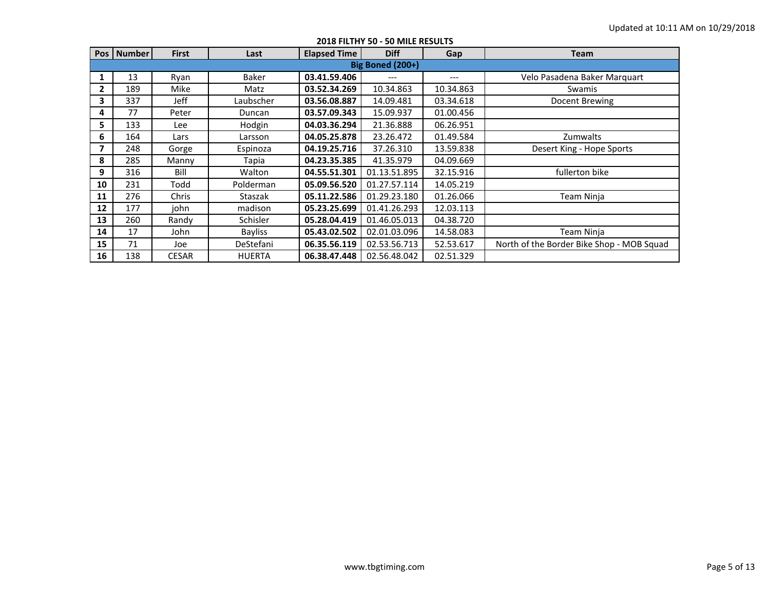|              | Pos   Number            | <b>First</b> | Last           | <b>Elapsed Time</b> | <b>Diff</b>  |           | Team                                      |  |  |  |  |  |
|--------------|-------------------------|--------------|----------------|---------------------|--------------|-----------|-------------------------------------------|--|--|--|--|--|
|              |                         |              |                |                     |              | Gap       |                                           |  |  |  |  |  |
|              | <b>Big Boned (200+)</b> |              |                |                     |              |           |                                           |  |  |  |  |  |
|              | 13                      | Ryan         | Baker          | 03.41.59.406        |              | $---$     | Velo Pasadena Baker Marquart              |  |  |  |  |  |
| $\mathbf{2}$ | 189                     | Mike         | Matz           | 03.52.34.269        | 10.34.863    | 10.34.863 | Swamis                                    |  |  |  |  |  |
| 3            | 337                     | Jeff         | Laubscher      | 03.56.08.887        | 14.09.481    | 03.34.618 | Docent Brewing                            |  |  |  |  |  |
| 4            | 77                      | Peter        | Duncan         | 03.57.09.343        | 15.09.937    | 01.00.456 |                                           |  |  |  |  |  |
| 5            | 133                     | Lee          | Hodgin         | 04.03.36.294        | 21.36.888    | 06.26.951 |                                           |  |  |  |  |  |
| 6            | 164                     | Lars         | Larsson        | 04.05.25.878        | 23.26.472    | 01.49.584 | Zumwalts                                  |  |  |  |  |  |
| 7            | 248                     | Gorge        | Espinoza       | 04.19.25.716        | 37.26.310    | 13.59.838 | Desert King - Hope Sports                 |  |  |  |  |  |
| 8            | 285                     | Manny        | Tapia          | 04.23.35.385        | 41.35.979    | 04.09.669 |                                           |  |  |  |  |  |
| 9            | 316                     | Bill         | Walton         | 04.55.51.301        | 01.13.51.895 | 32.15.916 | fullerton bike                            |  |  |  |  |  |
| 10           | 231                     | Todd         | Polderman      | 05.09.56.520        | 01.27.57.114 | 14.05.219 |                                           |  |  |  |  |  |
| 11           | 276                     | Chris        | Staszak        | 05.11.22.586        | 01.29.23.180 | 01.26.066 | Team Ninja                                |  |  |  |  |  |
| 12           | 177                     | john         | madison        | 05.23.25.699        | 01.41.26.293 | 12.03.113 |                                           |  |  |  |  |  |
| 13           | 260                     | Randy        | Schisler       | 05.28.04.419        | 01.46.05.013 | 04.38.720 |                                           |  |  |  |  |  |
| 14           | 17                      | John         | <b>Bayliss</b> | 05.43.02.502        | 02.01.03.096 | 14.58.083 | Team Ninja                                |  |  |  |  |  |
| 15           | 71                      | Joe          | DeStefani      | 06.35.56.119        | 02.53.56.713 | 52.53.617 | North of the Border Bike Shop - MOB Squad |  |  |  |  |  |
| 16           | 138                     | <b>CESAR</b> | <b>HUERTA</b>  | 06.38.47.448        | 02.56.48.042 | 02.51.329 |                                           |  |  |  |  |  |

## **2018 FILTHY 50 - 50 MILE RESULTS**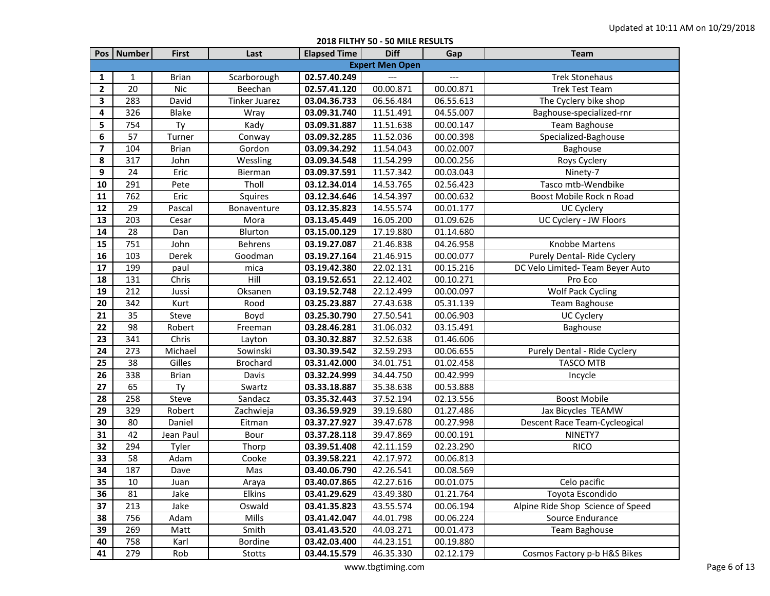|                         | Pos   Number | <b>First</b> | Last                 | <b>Elapsed Time</b> | <b>Diff</b>            | Gap       | Team                              |
|-------------------------|--------------|--------------|----------------------|---------------------|------------------------|-----------|-----------------------------------|
|                         |              |              |                      |                     | <b>Expert Men Open</b> |           |                                   |
| 1                       | 1            | <b>Brian</b> | Scarborough          | 02.57.40.249        |                        |           | <b>Trek Stonehaus</b>             |
| $\mathbf{2}$            | 20           | <b>Nic</b>   | Beechan              | 02.57.41.120        | 00.00.871              | 00.00.871 | <b>Trek Test Team</b>             |
| 3                       | 283          | David        | <b>Tinker Juarez</b> | 03.04.36.733        | 06.56.484              | 06.55.613 | The Cyclery bike shop             |
| 4                       | 326          | <b>Blake</b> | Wray                 | 03.09.31.740        | 11.51.491              | 04.55.007 | Baghouse-specialized-rnr          |
| 5                       | 754          | Ty           | Kady                 | 03.09.31.887        | 11.51.638              | 00.00.147 | Team Baghouse                     |
| 6                       | 57           | Turner       | Conway               | 03.09.32.285        | 11.52.036              | 00.00.398 | Specialized-Baghouse              |
| $\overline{\mathbf{z}}$ | 104          | <b>Brian</b> | Gordon               | 03.09.34.292        | 11.54.043              | 00.02.007 | Baghouse                          |
| 8                       | 317          | John         | Wessling             | 03.09.34.548        | 11.54.299              | 00.00.256 | Roys Cyclery                      |
| 9                       | 24           | Eric         | Bierman              | 03.09.37.591        | 11.57.342              | 00.03.043 | Ninety-7                          |
| 10                      | 291          | Pete         | Tholl                | 03.12.34.014        | 14.53.765              | 02.56.423 | Tasco mtb-Wendbike                |
| 11                      | 762          | Eric         | Squires              | 03.12.34.646        | 14.54.397              | 00.00.632 | Boost Mobile Rock n Road          |
| 12                      | 29           | Pascal       | Bonaventure          | 03.12.35.823        | 14.55.574              | 00.01.177 | <b>UC Cyclery</b>                 |
| 13                      | 203          | Cesar        | Mora                 | 03.13.45.449        | 16.05.200              | 01.09.626 | UC Cyclery - JW Floors            |
| 14                      | 28           | Dan          | Blurton              | 03.15.00.129        | 17.19.880              | 01.14.680 |                                   |
| 15                      | 751          | John         | <b>Behrens</b>       | 03.19.27.087        | 21.46.838              | 04.26.958 | Knobbe Martens                    |
| 16                      | 103          | Derek        | Goodman              | 03.19.27.164        | 21.46.915              | 00.00.077 | Purely Dental-Ride Cyclery        |
| 17                      | 199          | paul         | mica                 | 03.19.42.380        | 22.02.131              | 00.15.216 | DC Velo Limited- Team Beyer Auto  |
| 18                      | 131          | Chris        | Hill                 | 03.19.52.651        | 22.12.402              | 00.10.271 | Pro Eco                           |
| 19                      | 212          | Jussi        | Oksanen              | 03.19.52.748        | 22.12.499              | 00.00.097 | <b>Wolf Pack Cycling</b>          |
| 20                      | 342          | Kurt         | Rood                 | 03.25.23.887        | 27.43.638              | 05.31.139 | Team Baghouse                     |
| 21                      | 35           | Steve        | Boyd                 | 03.25.30.790        | 27.50.541              | 00.06.903 | UC Cyclery                        |
| 22                      | 98           | Robert       | Freeman              | 03.28.46.281        | 31.06.032              | 03.15.491 | Baghouse                          |
| 23                      | 341          | Chris        | Layton               | 03.30.32.887        | 32.52.638              | 01.46.606 |                                   |
| 24                      | 273          | Michael      | Sowinski             | 03.30.39.542        | 32.59.293              | 00.06.655 | Purely Dental - Ride Cyclery      |
| 25                      | 38           | Gilles       | <b>Brochard</b>      | 03.31.42.000        | 34.01.751              | 01.02.458 | <b>TASCO MTB</b>                  |
| 26                      | 338          | <b>Brian</b> | Davis                | 03.32.24.999        | 34.44.750              | 00.42.999 | Incycle                           |
| 27                      | 65           | Ty           | Swartz               | 03.33.18.887        | 35.38.638              | 00.53.888 |                                   |
| 28                      | 258          | Steve        | Sandacz              | 03.35.32.443        | 37.52.194              | 02.13.556 | <b>Boost Mobile</b>               |
| 29                      | 329          | Robert       | Zachwieja            | 03.36.59.929        | 39.19.680              | 01.27.486 | Jax Bicycles TEAMW                |
| 30                      | 80           | Daniel       | Eitman               | 03.37.27.927        | 39.47.678              | 00.27.998 | Descent Race Team-Cycleogical     |
| 31                      | 42           | Jean Paul    | Bour                 | 03.37.28.118        | 39.47.869              | 00.00.191 | NINETY7                           |
| 32                      | 294          | Tyler        | Thorp                | 03.39.51.408        | 42.11.159              | 02.23.290 | <b>RICO</b>                       |
| 33                      | 58           | Adam         | Cooke                | 03.39.58.221        | 42.17.972              | 00.06.813 |                                   |
| 34                      | 187          | Dave         | Mas                  | 03.40.06.790        | 42.26.541              | 00.08.569 |                                   |
| 35                      | 10           | Juan         | Araya                | 03.40.07.865        | 42.27.616              | 00.01.075 | Celo pacific                      |
| 36                      | 81           | Jake         | Elkins               | 03.41.29.629        | 43.49.380              | 01.21.764 | Toyota Escondido                  |
| 37                      | 213          | Jake         | Oswald               | 03.41.35.823        | 43.55.574              | 00.06.194 | Alpine Ride Shop Science of Speed |
| 38                      | 756          | Adam         | Mills                | 03.41.42.047        | 44.01.798              | 00.06.224 | Source Endurance                  |
| 39                      | 269          | Matt         | Smith                | 03.41.43.520        | 44.03.271              | 00.01.473 | Team Baghouse                     |
| 40                      | 758          | Karl         | Bordine              | 03.42.03.400        | 44.23.151              | 00.19.880 |                                   |
| 41                      | 279          | Rob          | Stotts               | 03.44.15.579        | 46.35.330              | 02.12.179 | Cosmos Factory p-b H&S Bikes      |

**2018 FILTHY 50 - 50 MILE RESULTS**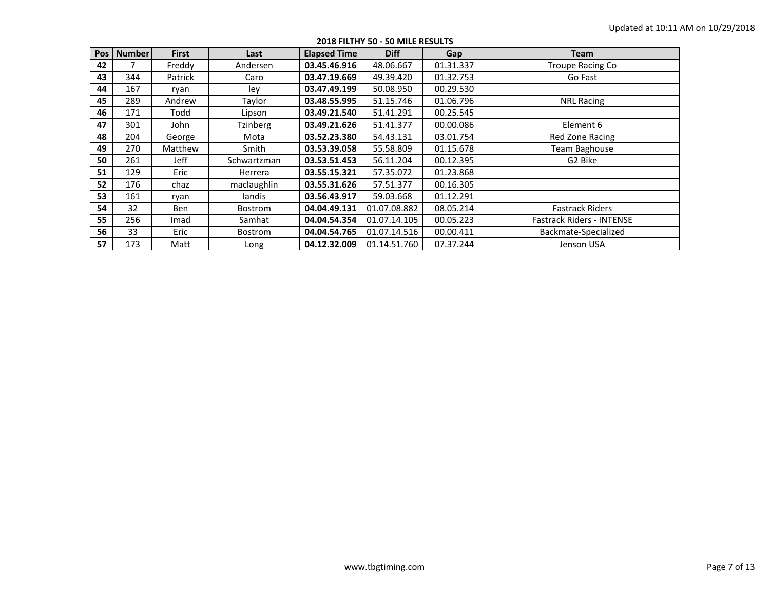| <b>Pos</b> | <b>Number</b> | <b>First</b> | Last            | <b>Elapsed Time</b> | <b>Diff</b>  | Gap       | <b>Team</b>                      |
|------------|---------------|--------------|-----------------|---------------------|--------------|-----------|----------------------------------|
| 42         |               | Freddy       | Andersen        | 03.45.46.916        | 48.06.667    | 01.31.337 | <b>Troupe Racing Co</b>          |
| 43         | 344           | Patrick      | Caro            | 03.47.19.669        | 49.39.420    | 01.32.753 | Go Fast                          |
| 44         | 167           | ryan         | lev             | 03.47.49.199        | 50.08.950    | 00.29.530 |                                  |
| 45         | 289           | Andrew       | Taylor          | 03.48.55.995        | 51.15.746    | 01.06.796 | <b>NRL Racing</b>                |
| 46         | 171           | Todd         | Lipson          | 03.49.21.540        | 51.41.291    | 00.25.545 |                                  |
| 47         | 301           | John         | <b>Tzinberg</b> | 03.49.21.626        | 51.41.377    | 00.00.086 | Element 6                        |
| 48         | 204           | George       | Mota            | 03.52.23.380        | 54.43.131    | 03.01.754 | Red Zone Racing                  |
| 49         | 270           | Matthew      | Smith           | 03.53.39.058        | 55.58.809    | 01.15.678 | Team Baghouse                    |
| 50         | 261           | <b>Jeff</b>  | Schwartzman     | 03.53.51.453        | 56.11.204    | 00.12.395 | G2 Bike                          |
| 51         | 129           | Eric         | Herrera         | 03.55.15.321        | 57.35.072    | 01.23.868 |                                  |
| 52         | 176           | chaz         | maclaughlin     | 03.55.31.626        | 57.51.377    | 00.16.305 |                                  |
| 53         | 161           | ryan         | landis          | 03.56.43.917        | 59.03.668    | 01.12.291 |                                  |
| 54         | 32            | Ben          | Bostrom         | 04.04.49.131        | 01.07.08.882 | 08.05.214 | <b>Fastrack Riders</b>           |
| 55         | 256           | Imad         | Samhat          | 04.04.54.354        | 01.07.14.105 | 00.05.223 | <b>Fastrack Riders - INTENSE</b> |
| 56         | 33            | Eric         | <b>Bostrom</b>  | 04.04.54.765        | 01.07.14.516 | 00.00.411 | Backmate-Specialized             |
| 57         | 173           | Matt         | Long            | 04.12.32.009        | 01.14.51.760 | 07.37.244 | Jenson USA                       |

**2018 FILTHY 50 - 50 MILE RESULTS**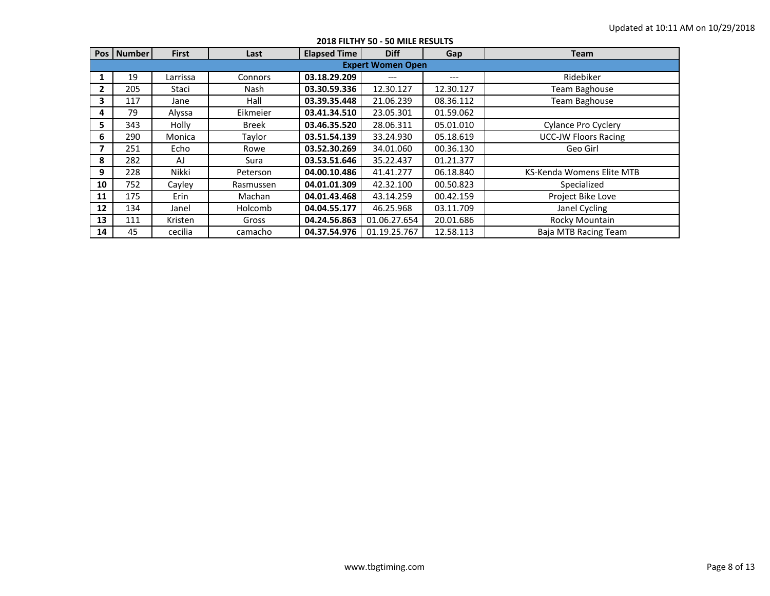|              | Pos   Number | <b>First</b> | Last         | <b>Elapsed Time</b> | <b>Diff</b>              | Gap       | Team                        |  |  |  |
|--------------|--------------|--------------|--------------|---------------------|--------------------------|-----------|-----------------------------|--|--|--|
|              |              |              |              |                     | <b>Expert Women Open</b> |           |                             |  |  |  |
|              | 19           | Larrissa     | Connors      | 03.18.29.209        |                          | $---$     | Ridebiker                   |  |  |  |
| $\mathbf{2}$ | 205          | Staci        | Nash         | 03.30.59.336        | 12.30.127                | 12.30.127 | <b>Team Baghouse</b>        |  |  |  |
| 3            | 117          | Jane         | Hall         | 03.39.35.448        | 21.06.239                | 08.36.112 | <b>Team Baghouse</b>        |  |  |  |
| 4            | 79           | Alyssa       | Eikmeier     | 03.41.34.510        | 23.05.301                | 01.59.062 |                             |  |  |  |
| 5            | 343          | Holly        | <b>Breek</b> | 03.46.35.520        | 28.06.311                | 05.01.010 | <b>Cylance Pro Cyclery</b>  |  |  |  |
| 6            | 290          | Monica       | Taylor       | 03.51.54.139        | 33.24.930                | 05.18.619 | <b>UCC-JW Floors Racing</b> |  |  |  |
| 7            | 251          | Echo         | Rowe         | 03.52.30.269        | 34.01.060                | 00.36.130 | Geo Girl                    |  |  |  |
| 8            | 282          | AJ           | Sura         | 03.53.51.646        | 35.22.437                | 01.21.377 |                             |  |  |  |
| 9            | 228          | Nikki        | Peterson     | 04.00.10.486        | 41.41.277                | 06.18.840 | KS-Kenda Womens Elite MTB   |  |  |  |
| 10           | 752          | Cayley       | Rasmussen    | 04.01.01.309        | 42.32.100                | 00.50.823 | Specialized                 |  |  |  |
| 11           | 175          | <b>Erin</b>  | Machan       | 04.01.43.468        | 43.14.259                | 00.42.159 | Project Bike Love           |  |  |  |
| 12           | 134          | Janel        | Holcomb      | 04.04.55.177        | 46.25.968                | 03.11.709 | Janel Cycling               |  |  |  |
| 13           | 111          | Kristen      | Gross        | 04.24.56.863        | 01.06.27.654             | 20.01.686 | Rocky Mountain              |  |  |  |
| 14           | 45           | cecilia      | camacho      | 04.37.54.976        | 01.19.25.767             | 12.58.113 | Baja MTB Racing Team        |  |  |  |

**2018 FILTHY 50 - 50 MILE RESULTS**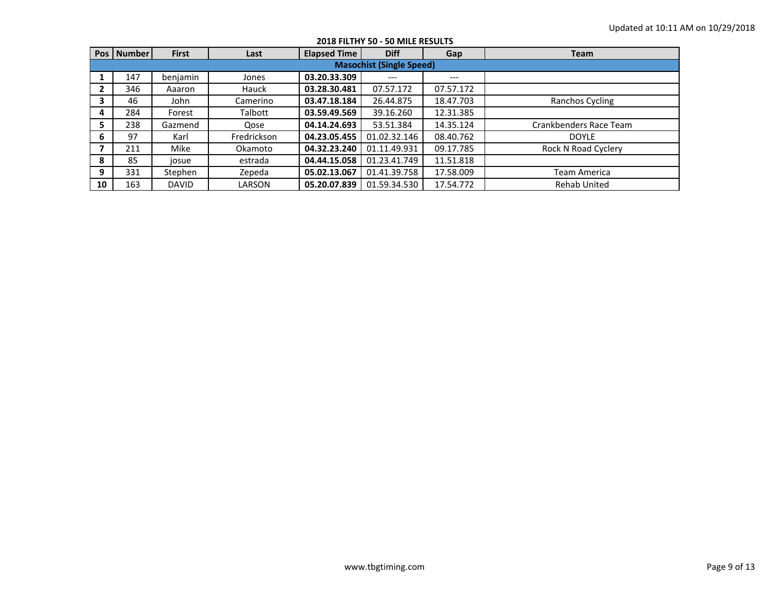|    | <b>Pos   Number  </b>           | <b>First</b> | Last        | <b>Elapsed Time</b> | <b>Diff</b>  | Gap       | <b>Team</b>            |  |  |  |  |  |
|----|---------------------------------|--------------|-------------|---------------------|--------------|-----------|------------------------|--|--|--|--|--|
|    | <b>Masochist (Single Speed)</b> |              |             |                     |              |           |                        |  |  |  |  |  |
|    | 147                             | benjamin     | Jones       | 03.20.33.309        | ---          | $---$     |                        |  |  |  |  |  |
|    | 346                             | Aaaron       | Hauck       | 03.28.30.481        | 07.57.172    | 07.57.172 |                        |  |  |  |  |  |
| з  | 46                              | John         | Camerino    | 03.47.18.184        | 26.44.875    | 18.47.703 | Ranchos Cycling        |  |  |  |  |  |
| 4  | 284                             | Forest       | Talbott     | 03.59.49.569        | 39.16.260    | 12.31.385 |                        |  |  |  |  |  |
| 5  | 238                             | Gazmend      | Qose        | 04.14.24.693        | 53.51.384    | 14.35.124 | Crankbenders Race Team |  |  |  |  |  |
| 6  | 97                              | Karl         | Fredrickson | 04.23.05.455        | 01.02.32.146 | 08.40.762 | <b>DOYLE</b>           |  |  |  |  |  |
|    | 211                             | Mike         | Okamoto     | 04.32.23.240        | 01.11.49.931 | 09.17.785 | Rock N Road Cyclery    |  |  |  |  |  |
| 8  | 85                              | josue        | estrada     | 04.44.15.058        | 01.23.41.749 | 11.51.818 |                        |  |  |  |  |  |
| 9  | 331                             | Stephen      | Zepeda      | 05.02.13.067        | 01.41.39.758 | 17.58.009 | Team America           |  |  |  |  |  |
| 10 | 163                             | <b>DAVID</b> | LARSON      | 05.20.07.839        | 01.59.34.530 | 17.54.772 | <b>Rehab United</b>    |  |  |  |  |  |

**2018 FILTHY 50 - 50 MILE RESULTS**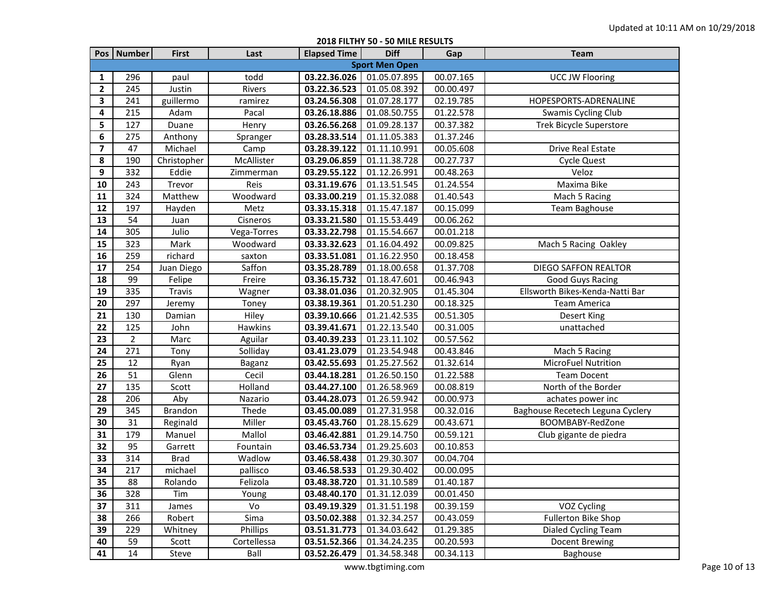|                         |                |               |                | <b>AVAU LIPLITI 70</b> | JU ITILLE INLJULIU    |           |                                  |
|-------------------------|----------------|---------------|----------------|------------------------|-----------------------|-----------|----------------------------------|
|                         | Pos   Number   | <b>First</b>  | Last           | <b>Elapsed Time</b>    | <b>Diff</b>           | Gap       | <b>Team</b>                      |
|                         |                |               |                |                        | <b>Sport Men Open</b> |           |                                  |
| 1                       | 296            | paul          | todd           | 03.22.36.026           | 01.05.07.895          | 00.07.165 | <b>UCC JW Flooring</b>           |
| $\mathbf{2}$            | 245            | Justin        | Rivers         | 03.22.36.523           | 01.05.08.392          | 00.00.497 |                                  |
| 3                       | 241            | guillermo     | ramirez        | 03.24.56.308           | 01.07.28.177          | 02.19.785 | HOPESPORTS-ADRENALINE            |
| 4                       | 215            | Adam          | Pacal          | 03.26.18.886           | 01.08.50.755          | 01.22.578 | Swamis Cycling Club              |
| 5                       | 127            | Duane         | Henry          | 03.26.56.268           | 01.09.28.137          | 00.37.382 | <b>Trek Bicycle Superstore</b>   |
| 6                       | 275            | Anthony       | Spranger       | 03.28.33.514           | 01.11.05.383          | 01.37.246 |                                  |
| $\overline{\mathbf{z}}$ | 47             | Michael       | Camp           | 03.28.39.122           | 01.11.10.991          | 00.05.608 | Drive Real Estate                |
| 8                       | 190            | Christopher   | McAllister     | 03.29.06.859           | 01.11.38.728          | 00.27.737 | <b>Cycle Quest</b>               |
| 9                       | 332            | Eddie         | Zimmerman      | 03.29.55.122           | 01.12.26.991          | 00.48.263 | Veloz                            |
| 10                      | 243            | Trevor        | Reis           | 03.31.19.676           | 01.13.51.545          | 01.24.554 | Maxima Bike                      |
| 11                      | 324            | Matthew       | Woodward       | 03.33.00.219           | 01.15.32.088          | 01.40.543 | Mach 5 Racing                    |
| 12                      | 197            | Hayden        | Metz           | 03.33.15.318           | 01.15.47.187          | 00.15.099 | Team Baghouse                    |
| 13                      | 54             | Juan          | Cisneros       | 03.33.21.580           | 01.15.53.449          | 00.06.262 |                                  |
| 14                      | 305            | Julio         | Vega-Torres    | 03.33.22.798           | 01.15.54.667          | 00.01.218 |                                  |
| 15                      | 323            | Mark          | Woodward       | 03.33.32.623           | 01.16.04.492          | 00.09.825 | Mach 5 Racing Oakley             |
| 16                      | 259            | richard       | saxton         | 03.33.51.081           | 01.16.22.950          | 00.18.458 |                                  |
| 17                      | 254            | Juan Diego    | Saffon         | 03.35.28.789           | 01.18.00.658          | 01.37.708 | <b>DIEGO SAFFON REALTOR</b>      |
| 18                      | 99             | Felipe        | Freire         | 03.36.15.732           | 01.18.47.601          | 00.46.943 | <b>Good Guys Racing</b>          |
| 19                      | 335            | <b>Travis</b> | Wagner         | 03.38.01.036           | 01.20.32.905          | 01.45.304 | Ellsworth Bikes-Kenda-Natti Bar  |
| 20                      | 297            | Jeremy        | Toney          | 03.38.19.361           | 01.20.51.230          | 00.18.325 | <b>Team America</b>              |
| 21                      | 130            | Damian        | Hiley          | 03.39.10.666           | 01.21.42.535          | 00.51.305 | Desert King                      |
| 22                      | 125            | John          | <b>Hawkins</b> | 03.39.41.671           | 01.22.13.540          | 00.31.005 | unattached                       |
| 23                      | $\overline{2}$ | Marc          | Aguilar        | 03.40.39.233           | 01.23.11.102          | 00.57.562 |                                  |
| 24                      | 271            | Tony          | Solliday       | 03.41.23.079           | 01.23.54.948          | 00.43.846 | Mach 5 Racing                    |
| 25                      | 12             | Ryan          | Baganz         | 03.42.55.693           | 01.25.27.562          | 01.32.614 | MicroFuel Nutrition              |
| 26                      | 51             | Glenn         | Cecil          | 03.44.18.281           | 01.26.50.150          | 01.22.588 | <b>Team Docent</b>               |
| 27                      | 135            | Scott         | Holland        | 03.44.27.100           | 01.26.58.969          | 00.08.819 | North of the Border              |
| 28                      | 206            | Aby           | Nazario        | 03.44.28.073           | 01.26.59.942          | 00.00.973 | achates power inc                |
| 29                      | 345            | Brandon       | Thede          | 03.45.00.089           | 01.27.31.958          | 00.32.016 | Baghouse Recetech Leguna Cyclery |
| 30                      | 31             | Reginald      | Miller         | 03.45.43.760           | 01.28.15.629          | 00.43.671 | BOOMBABY-RedZone                 |
| 31                      | 179            | Manuel        | Mallol         | 03.46.42.881           | 01.29.14.750          | 00.59.121 | Club gigante de piedra           |
| 32                      | 95             | Garrett       | Fountain       | 03.46.53.734           | 01.29.25.603          | 00.10.853 |                                  |
| 33                      | 314            | <b>Brad</b>   | Wadlow         | 03.46.58.438           | 01.29.30.307          | 00.04.704 |                                  |
| 34                      | 217            | michael       | pallisco       | 03.46.58.533           | 01.29.30.402          | 00.00.095 |                                  |
| 35                      | 88             | Rolando       | Felizola       | 03.48.38.720           | 01.31.10.589          | 01.40.187 |                                  |
| 36                      | 328            | Tim           | Young          | 03.48.40.170           | 01.31.12.039          | 00.01.450 |                                  |
| 37                      | 311            | James         | Vo             | 03.49.19.329           | 01.31.51.198          | 00.39.159 | VOZ Cycling                      |
| 38                      | 266            | Robert        | Sima           | 03.50.02.388           | 01.32.34.257          | 00.43.059 | Fullerton Bike Shop              |
| 39                      | 229            | Whitney       | Phillips       | 03.51.31.773           | 01.34.03.642          | 01.29.385 | Dialed Cycling Team              |
| 40                      | 59             | Scott         | Cortellessa    | 03.51.52.366           | 01.34.24.235          | 00.20.593 | Docent Brewing                   |
| 41                      | 14             | Steve         | Ball           | 03.52.26.479           | 01.34.58.348          | 00.34.113 | Baghouse                         |

**2018 FILTHY 50 - 50 MILE RESULTS**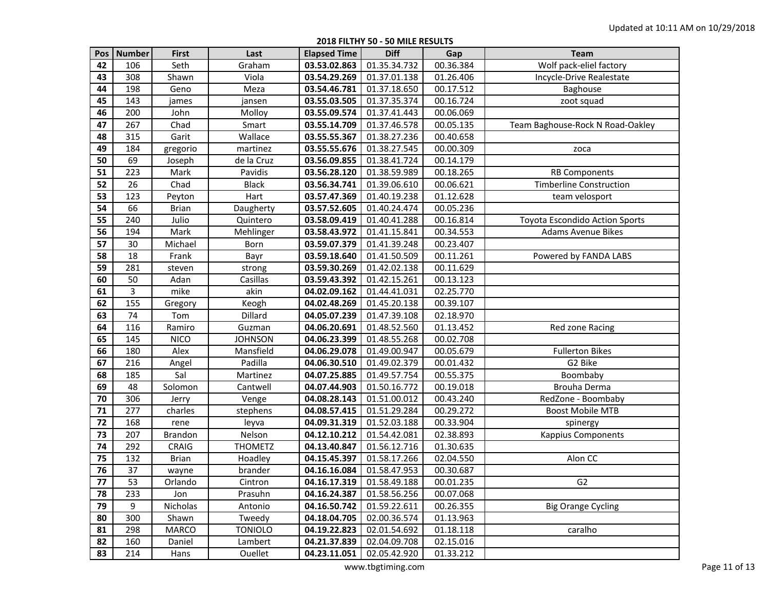**2018 FILTHY 50 - 50 MILE RESULTS**

|    | Pos   Number | <b>First</b>   | Last           | <b>Elapsed Time</b> | <b>Diff</b>               | Gap       | Team                                  |
|----|--------------|----------------|----------------|---------------------|---------------------------|-----------|---------------------------------------|
| 42 | 106          | Seth           | Graham         | 03.53.02.863        | 01.35.34.732              | 00.36.384 | Wolf pack-eliel factory               |
| 43 | 308          | Shawn          | Viola          | 03.54.29.269        | 01.37.01.138              | 01.26.406 | Incycle-Drive Realestate              |
| 44 | 198          | Geno           | Meza           | 03.54.46.781        | 01.37.18.650              | 00.17.512 | Baghouse                              |
| 45 | 143          | james          | jansen         | 03.55.03.505        | 01.37.35.374              | 00.16.724 | zoot squad                            |
| 46 | 200          | John           | Molloy         | 03.55.09.574        | 01.37.41.443              | 00.06.069 |                                       |
| 47 | 267          | Chad           | Smart          | 03.55.14.709        | 01.37.46.578              | 00.05.135 | Team Baghouse-Rock N Road-Oakley      |
| 48 | 315          | Garit          | Wallace        | 03.55.55.367        | 01.38.27.236              | 00.40.658 |                                       |
| 49 | 184          | gregorio       | martinez       | 03.55.55.676        | 01.38.27.545              | 00.00.309 | zoca                                  |
| 50 | 69           | Joseph         | de la Cruz     | 03.56.09.855        | 01.38.41.724              | 00.14.179 |                                       |
| 51 | 223          | Mark           | Pavidis        | 03.56.28.120        | 01.38.59.989              | 00.18.265 | <b>RB Components</b>                  |
| 52 | 26           | Chad           | <b>Black</b>   | 03.56.34.741        | 01.39.06.610              | 00.06.621 | <b>Timberline Construction</b>        |
| 53 | 123          | Peyton         | Hart           | 03.57.47.369        | 01.40.19.238              | 01.12.628 | team velosport                        |
| 54 | 66           | <b>Brian</b>   | Daugherty      | 03.57.52.605        | 01.40.24.474              | 00.05.236 |                                       |
| 55 | 240          | Julio          | Quintero       | 03.58.09.419        | 01.40.41.288              | 00.16.814 | <b>Toyota Escondido Action Sports</b> |
| 56 | 194          | Mark           | Mehlinger      | 03.58.43.972        | 01.41.15.841              | 00.34.553 | <b>Adams Avenue Bikes</b>             |
| 57 | 30           | Michael        | Born           | 03.59.07.379        | 01.41.39.248              | 00.23.407 |                                       |
| 58 | 18           | Frank          | Bayr           | 03.59.18.640        | 01.41.50.509              | 00.11.261 | Powered by FANDA LABS                 |
| 59 | 281          | steven         | strong         | 03.59.30.269        | 01.42.02.138              | 00.11.629 |                                       |
| 60 | 50           | Adan           | Casillas       | 03.59.43.392        | 01.42.15.261              | 00.13.123 |                                       |
| 61 | 3            | mike           | akin           | 04.02.09.162        | 01.44.41.031              | 02.25.770 |                                       |
| 62 | 155          | Gregory        | Keogh          | 04.02.48.269        | 01.45.20.138              | 00.39.107 |                                       |
| 63 | 74           | Tom            | Dillard        | 04.05.07.239        | 01.47.39.108              | 02.18.970 |                                       |
| 64 | 116          | Ramiro         | Guzman         | 04.06.20.691        | 01.48.52.560              | 01.13.452 | Red zone Racing                       |
| 65 | 145          | <b>NICO</b>    | <b>JOHNSON</b> | 04.06.23.399        | 01.48.55.268              | 00.02.708 |                                       |
| 66 | 180          | Alex           | Mansfield      | 04.06.29.078        | 01.49.00.947              | 00.05.679 | <b>Fullerton Bikes</b>                |
| 67 | 216          | Angel          | Padilla        | 04.06.30.510        | 01.49.02.379              | 00.01.432 | G2 Bike                               |
| 68 | 185          | Sal            | Martinez       | 04.07.25.885        | 01.49.57.754              | 00.55.375 | Boombaby                              |
| 69 | 48           | Solomon        | Cantwell       | 04.07.44.903        | 01.50.16.772              | 00.19.018 | Brouha Derma                          |
| 70 | 306          | Jerry          | Venge          | 04.08.28.143        | 01.51.00.012              | 00.43.240 | RedZone - Boombaby                    |
| 71 | 277          | charles        | stephens       | 04.08.57.415        | 01.51.29.284              | 00.29.272 | <b>Boost Mobile MTB</b>               |
| 72 | 168          | rene           | leyva          | 04.09.31.319        | 01.52.03.188              | 00.33.904 | spinergy                              |
| 73 | 207          | <b>Brandon</b> | Nelson         | 04.12.10.212        | 01.54.42.081              | 02.38.893 | <b>Kappius Components</b>             |
| 74 | 292          | CRAIG          | <b>THOMETZ</b> | 04.13.40.847        | 01.56.12.716              | 01.30.635 |                                       |
| 75 | 132          | <b>Brian</b>   | Hoadley        | 04.15.45.397        | 01.58.17.266              | 02.04.550 | Alon CC                               |
| 76 | 37           | wayne          | brander        | 04.16.16.084        | 01.58.47.953              | 00.30.687 |                                       |
| 77 | 53           | Orlando        | Cintron        |                     | 04.16.17.319 01.58.49.188 | 00.01.235 | G <sub>2</sub>                        |
| 78 | 233          | Jon            | Prasuhn        | 04.16.24.387        | 01.58.56.256              | 00.07.068 |                                       |
| 79 | 9            | Nicholas       | Antonio        | 04.16.50.742        | 01.59.22.611              | 00.26.355 | <b>Big Orange Cycling</b>             |
| 80 | 300          | Shawn          | Tweedy         | 04.18.04.705        | 02.00.36.574              | 01.13.963 |                                       |
| 81 | 298          | MARCO          | <b>TONIOLO</b> | 04.19.22.823        | 02.01.54.692              | 01.18.118 | caralho                               |
| 82 | 160          | Daniel         | Lambert        | 04.21.37.839        | 02.04.09.708              | 02.15.016 |                                       |
| 83 | 214          | Hans           | <b>Ouellet</b> | 04.23.11.051        | 02.05.42.920              | 01.33.212 |                                       |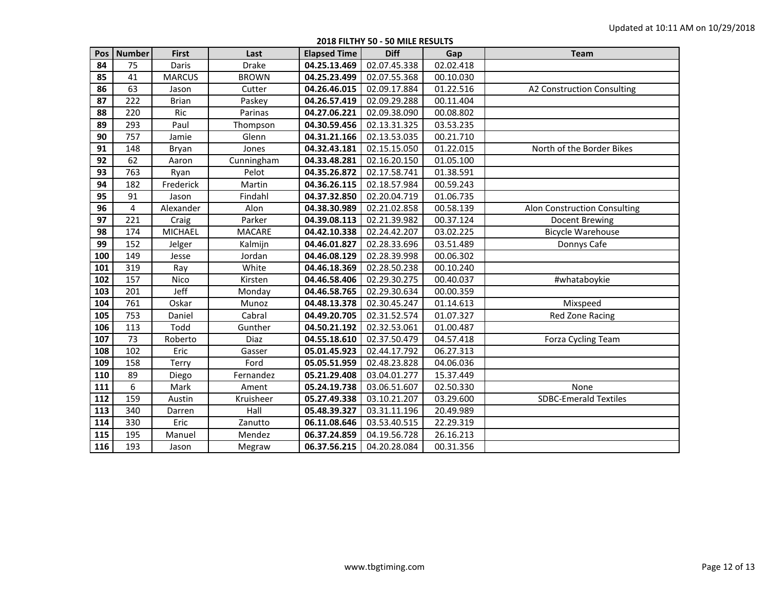**2018 FILTHY 50 - 50 MILE RESULTS**

| Pos | <b>Number</b> | <b>First</b>  | Last          | <b>Elapsed Time</b> | <b>Diff</b>  | Gap       | <b>Team</b>                  |
|-----|---------------|---------------|---------------|---------------------|--------------|-----------|------------------------------|
| 84  | 75            | Daris         | <b>Drake</b>  | 04.25.13.469        | 02.07.45.338 | 02.02.418 |                              |
| 85  | 41            | <b>MARCUS</b> | <b>BROWN</b>  | 04.25.23.499        | 02.07.55.368 | 00.10.030 |                              |
| 86  | 63            | Jason         | Cutter        | 04.26.46.015        | 02.09.17.884 | 01.22.516 | A2 Construction Consulting   |
| 87  | 222           | <b>Brian</b>  | Paskey        | 04.26.57.419        | 02.09.29.288 | 00.11.404 |                              |
| 88  | 220           | Ric           | Parinas       | 04.27.06.221        | 02.09.38.090 | 00.08.802 |                              |
| 89  | 293           | Paul          | Thompson      | 04.30.59.456        | 02.13.31.325 | 03.53.235 |                              |
| 90  | 757           | Jamie         | Glenn         | 04.31.21.166        | 02.13.53.035 | 00.21.710 |                              |
| 91  | 148           | Bryan         | Jones         | 04.32.43.181        | 02.15.15.050 | 01.22.015 | North of the Border Bikes    |
| 92  | 62            | Aaron         | Cunningham    | 04.33.48.281        | 02.16.20.150 | 01.05.100 |                              |
| 93  | 763           | Ryan          | Pelot         | 04.35.26.872        | 02.17.58.741 | 01.38.591 |                              |
| 94  | 182           | Frederick     | Martin        | 04.36.26.115        | 02.18.57.984 | 00.59.243 |                              |
| 95  | 91            | Jason         | Findahl       | 04.37.32.850        | 02.20.04.719 | 01.06.735 |                              |
| 96  | 4             | Alexander     | Alon          | 04.38.30.989        | 02.21.02.858 | 00.58.139 | Alon Construction Consulting |
| 97  | 221           | Craig         | Parker        | 04.39.08.113        | 02.21.39.982 | 00.37.124 | Docent Brewing               |
| 98  | 174           | MICHAEL       | <b>MACARE</b> | 04.42.10.338        | 02.24.42.207 | 03.02.225 | <b>Bicycle Warehouse</b>     |
| 99  | 152           | Jelger        | Kalmijn       | 04.46.01.827        | 02.28.33.696 | 03.51.489 | Donnys Cafe                  |
| 100 | 149           | Jesse         | Jordan        | 04.46.08.129        | 02.28.39.998 | 00.06.302 |                              |
| 101 | 319           | Ray           | White         | 04.46.18.369        | 02.28.50.238 | 00.10.240 |                              |
| 102 | 157           | Nico          | Kirsten       | 04.46.58.406        | 02.29.30.275 | 00.40.037 | #whataboykie                 |
| 103 | 201           | Jeff          | Monday        | 04.46.58.765        | 02.29.30.634 | 00.00.359 |                              |
| 104 | 761           | Oskar         | Munoz         | 04.48.13.378        | 02.30.45.247 | 01.14.613 | Mixspeed                     |
| 105 | 753           | Daniel        | Cabral        | 04.49.20.705        | 02.31.52.574 | 01.07.327 | Red Zone Racing              |
| 106 | 113           | Todd          | Gunther       | 04.50.21.192        | 02.32.53.061 | 01.00.487 |                              |
| 107 | 73            | Roberto       | Diaz          | 04.55.18.610        | 02.37.50.479 | 04.57.418 | Forza Cycling Team           |
| 108 | 102           | Eric          | Gasser        | 05.01.45.923        | 02.44.17.792 | 06.27.313 |                              |
| 109 | 158           | Terry         | Ford          | 05.05.51.959        | 02.48.23.828 | 04.06.036 |                              |
| 110 | 89            | Diego         | Fernandez     | 05.21.29.408        | 03.04.01.277 | 15.37.449 |                              |
| 111 | 6             | Mark          | Ament         | 05.24.19.738        | 03.06.51.607 | 02.50.330 | None                         |
| 112 | 159           | Austin        | Kruisheer     | 05.27.49.338        | 03.10.21.207 | 03.29.600 | <b>SDBC-Emerald Textiles</b> |
| 113 | 340           | Darren        | Hall          | 05.48.39.327        | 03.31.11.196 | 20.49.989 |                              |
| 114 | 330           | Eric          | Zanutto       | 06.11.08.646        | 03.53.40.515 | 22.29.319 |                              |
| 115 | 195           | Manuel        | Mendez        | 06.37.24.859        | 04.19.56.728 | 26.16.213 |                              |
| 116 | 193           | Jason         | Megraw        | 06.37.56.215        | 04.20.28.084 | 00.31.356 |                              |